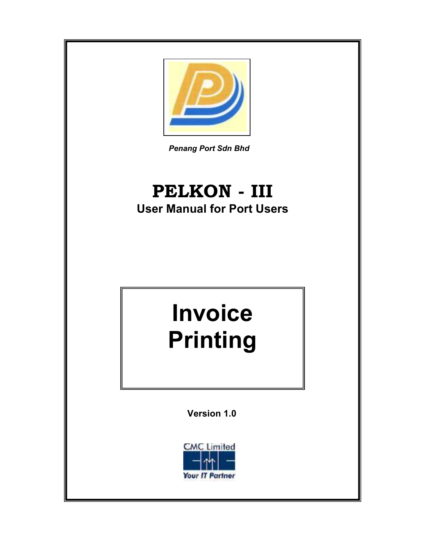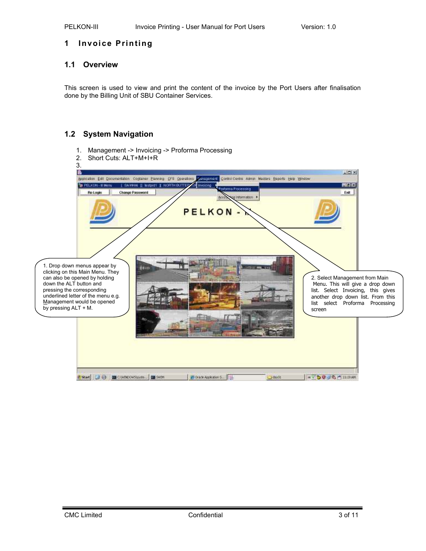# 1 Invoice Printing

# 1.1 Overview

This screen is used to view and print the content of the invoice by the Port Users after finalisation done by the Billing Unit of SBU Container Services.

# 1.2 System Navigation

1. Management -> Invoicing -> Proforma Processing

| 2.<br>3.<br>ß                                                                                                                                                                                                                                          | Short Cuts: ALT+M+I+R<br>Sepination Edit Qocumentation Cograiner Planning CFB Coerations Control Control Centre Alamin Masters Beports Help Window<br><b>ER PELKON - II Manu</b><br><b>Re-Login</b> | SAWHA    Instpret    NORTH BUTTER /OF Invoicing<br><b>Change Password</b> | <b>PELKON</b>          | <b>Eroforma Processing</b><br>sig Information |             | $\vert \Box \vert \times$<br>再用窗<br>Exit                                                                                                                                                   |  |
|--------------------------------------------------------------------------------------------------------------------------------------------------------------------------------------------------------------------------------------------------------|-----------------------------------------------------------------------------------------------------------------------------------------------------------------------------------------------------|---------------------------------------------------------------------------|------------------------|-----------------------------------------------|-------------|--------------------------------------------------------------------------------------------------------------------------------------------------------------------------------------------|--|
| 1. Drop down menus appear by<br>clicking on this Main Menu. They<br>can also be opened by holding<br>down the ALT button and<br>pressing the corresponding<br>underlined letter of the menu e.g.<br>Management would be opened<br>by pressing ALT + M. |                                                                                                                                                                                                     | <b>SI FIELD</b>                                                           |                        |                                               |             | 2. Select Management from Main<br>Menu. This will give a drop down<br>list. Select Invoicing, this gives<br>another drop down list. From this<br>list select Proforma Processing<br>screen |  |
|                                                                                                                                                                                                                                                        | Start die                                                                                                                                                                                           | <b>BBC (WINDOWSLyste BB SWIM</b>                                          | C Oracle Application S |                                               | $J$ day (i) | <b>*VDOUS/THEM</b>                                                                                                                                                                         |  |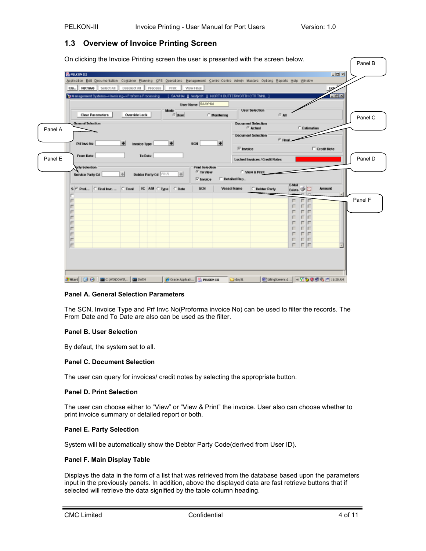# 1.3 Overview of Invoice Printing Screen

|         | Application Edit Qocumentation Cogtainer Blanning CFS Querations Management Control Centre Admin Masters Optiong Beports Help Window |              |                       |       |                  |                        |              |                    |                                                      |                  |                  |               |         |
|---------|--------------------------------------------------------------------------------------------------------------------------------------|--------------|-----------------------|-------|------------------|------------------------|--------------|--------------------|------------------------------------------------------|------------------|------------------|---------------|---------|
|         | Cle., Retrieve Select All                                                                                                            | Deselect All | <b>Process</b>        | Print | <b>Wew Final</b> |                        |              |                    |                                                      |                  |                  | $E_{\rm S}$   |         |
|         | Te Management Systems->Invoicing->Proforma Processing                                                                                |              |                       |       |                  |                        |              |                    | SAWHAL II, testprof. II, NORTH BUTTERWORTH CTR TWNL. |                  |                  | HZ            |         |
|         |                                                                                                                                      |              |                       |       |                  | User Name   BA-WHAI    |              |                    |                                                      |                  |                  |               |         |
|         | <b>Clear Parameters</b>                                                                                                              |              | Override Lock         | Mode  | <b>Cluser</b>    |                        | C Monitoring |                    | <b>User Selection</b>                                | 行期               |                  |               |         |
|         |                                                                                                                                      |              |                       |       |                  |                        |              |                    |                                                      |                  |                  |               | Panel C |
| Panel A | General Selection                                                                                                                    |              |                       |       |                  |                        |              |                    | <b>Decument Selection</b><br><sup>C</sup> Actual     |                  | C. Estimation    |               |         |
|         |                                                                                                                                      |              |                       |       |                  |                        |              |                    | <b>Decument Selection</b>                            |                  |                  |               |         |
|         | Pri Invc No                                                                                                                          | ÷            | <b>Invoice Type</b>   |       |                  | SON                    | ×            |                    |                                                      | $F$ Final        |                  |               |         |
|         |                                                                                                                                      |              |                       |       |                  |                        |              | $\nabla$ invoice   |                                                      |                  |                  | Credit Note   |         |
|         | From Date                                                                                                                            |              | To Date               |       |                  |                        |              |                    |                                                      |                  |                  |               |         |
| Panel E |                                                                                                                                      |              |                       |       |                  |                        |              |                    | <b>Locked Invoices / Credit Notes</b>                |                  |                  |               | Panel D |
|         |                                                                                                                                      |              |                       |       |                  |                        |              |                    |                                                      |                  |                  |               |         |
|         | arty Selection                                                                                                                       |              |                       |       |                  | <b>Print Selection</b> |              |                    |                                                      |                  |                  |               |         |
|         | Sarvice Party Cd                                                                                                                     | $\Phi$       | Debtor Party Cd 77-14 |       | $\Phi$           | <sup>(F</sup> To View  |              |                    | C. View & Print                                      |                  |                  |               |         |
|         |                                                                                                                                      |              |                       |       |                  | $\nabla$ invoice       |              | Dotailed Rep.      |                                                      |                  |                  |               |         |
|         | $S \subseteq \text{Prot}_{\text{max}}$ $C$ Final laye, $C$ Terri-                                                                    |              | IIC AM C Type         |       | C Date           | SCN                    |              | <b>Vessel Name</b> | C. Debtor Party                                      | E-Mail<br>Exists |                  | <b>Amount</b> |         |
|         |                                                                                                                                      |              |                       |       |                  |                        |              |                    |                                                      |                  |                  |               |         |
|         | г                                                                                                                                    |              |                       |       |                  |                        |              |                    |                                                      | г                |                  |               | Panel F |
|         | г                                                                                                                                    |              |                       |       |                  |                        |              |                    |                                                      | г                | ⊩<br>г           |               |         |
|         | п                                                                                                                                    |              |                       |       |                  |                        |              |                    |                                                      | г                | г<br>г           |               |         |
|         | п                                                                                                                                    |              |                       |       |                  |                        |              |                    |                                                      | г                | г<br>г<br>г<br>г |               |         |
|         | п                                                                                                                                    |              |                       |       |                  |                        |              |                    |                                                      | г<br>г           | Iг<br>г          |               |         |
|         | п<br>п                                                                                                                               |              |                       |       |                  |                        |              |                    |                                                      | г                | г<br>IП          |               |         |
|         | п<br>п                                                                                                                               |              |                       |       |                  |                        |              |                    |                                                      | г<br>г           | г<br>IГ<br>IП    |               |         |

## Panel A. General Selection Parameters

The SCN, Invoice Type and Prf Invc No(Proforma invoice No) can be used to filter the records. The From Date and To Date are also can be used as the filter.

### Panel B. User Selection

By defaut, the system set to all.

### Panel C. Document Selection

The user can query for invoices/ credit notes by selecting the appropriate button.

### Panel D. Print Selection

The user can choose either to "View" or "View & Print" the invoice. User also can choose whether to print invoice summary or detailed report or both.

### Panel E. Party Selection

System will be automatically show the Debtor Party Code(derived from User ID).

# Panel F. Main Display Table

Displays the data in the form of a list that was retrieved from the database based upon the parameters input in the previously panels. In addition, above the displayed data are fast retrieve buttons that if selected will retrieve the data signified by the table column heading.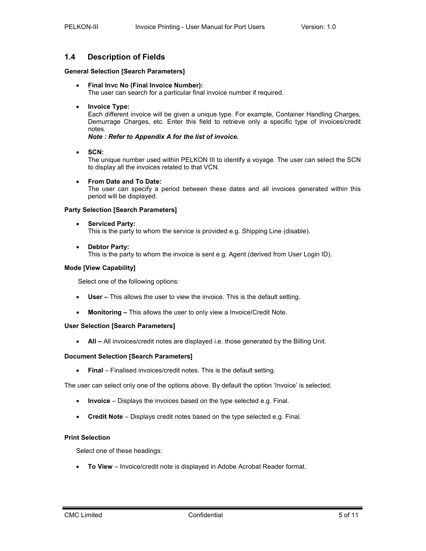# 1.4 Description of Fields

### General Selection [Search Parameters]

• Final Invc No (Final Invoice Number):

The user can search for a particular final invoice number if required.

• Invoice Type:

Each different invoice will be given a unique type. For example, Container Handling Charges, Demurrage Charges, etc. Enter this field to retrieve only a specific type of invoices/credit notes.

Note : Refer to Appendix A for the list of invoice.

• SCN:

The unique number used within PELKON III to identify a voyage. The user can select the SCN to display all the invoices related to that VCN.

• From Date and To Date:

The user can specify a period between these dates and all invoices generated within this period will be displayed.

## Party Selection [Search Parameters]

• Serviced Party:

This is the party to whom the service is provided e.g. Shipping Line (disable).

• Debtor Party:

This is the party to whom the invoice is sent e.g. Agent (derived from User Login ID).

## Mode [View Capability]

Select one of the following options:

- User This allows the user to view the invoice. This is the default setting.
- Monitoring This allows the user to only view a Invoice/Credit Note.

# User Selection [Search Parameters]

• All – All invoices/credit notes are displayed i.e. those generated by the Billing Unit.

## Document Selection [Search Parameters]

• Final – Finalised invoices/credit notes. This is the default setting.

The user can select only one of the options above. By default the option 'Invoice' is selected.

- Invoice Displays the invoices based on the type selected e.g. Final.
- Credit Note Displays credit notes based on the type selected e.g. Final.

### Print Selection

Select one of these headings:

• To View – Invoice/credit note is displayed in Adobe Acrobat Reader format.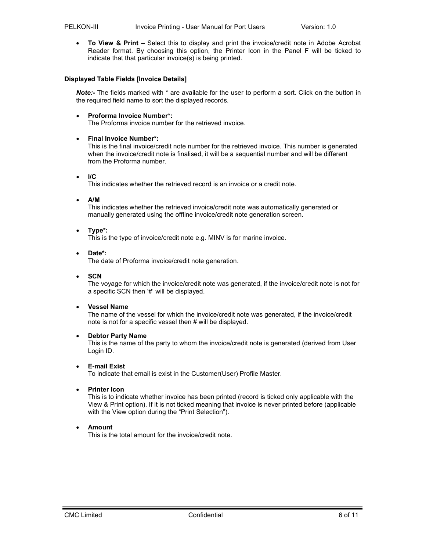• To View & Print – Select this to display and print the invoice/credit note in Adobe Acrobat Reader format. By choosing this option, the Printer Icon in the Panel F will be ticked to indicate that that particular invoice(s) is being printed.

### Displayed Table Fields [Invoice Details]

Note:- The fields marked with \* are available for the user to perform a sort. Click on the button in the required field name to sort the displayed records.

• Proforma Invoice Number\*:

The Proforma invoice number for the retrieved invoice.

### • Final Invoice Number\*:

This is the final invoice/credit note number for the retrieved invoice. This number is generated when the invoice/credit note is finalised, it will be a sequential number and will be different from the Proforma number.

• I/C

This indicates whether the retrieved record is an invoice or a credit note.

• A/M

This indicates whether the retrieved invoice/credit note was automatically generated or manually generated using the offline invoice/credit note generation screen.

• Type\*:

This is the type of invoice/credit note e.g. MINV is for marine invoice.

• Date\*:

The date of Proforma invoice/credit note generation.

• SCN

The voyage for which the invoice/credit note was generated, if the invoice/credit note is not for a specific SCN then '#' will be displayed.

### • Vessel Name

The name of the vessel for which the invoice/credit note was generated, if the invoice/credit note is not for a specific vessel then # will be displayed.

### • Debtor Party Name

This is the name of the party to whom the invoice/credit note is generated (derived from User Login ID.

# • E-mail Exist

To indicate that email is exist in the Customer(User) Profile Master.

### **Printer Icon**

This is to indicate whether invoice has been printed (record is ticked only applicable with the View & Print option). If it is not ticked meaning that invoice is never printed before (applicable with the View option during the "Print Selection").

### • Amount

This is the total amount for the invoice/credit note.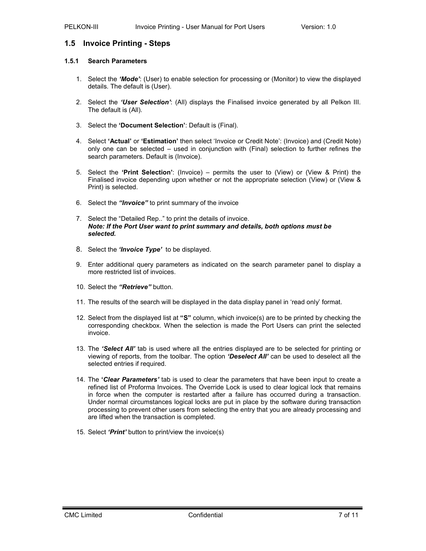# 1.5 Invoice Printing - Steps

## 1.5.1 Search Parameters

- 1. Select the 'Mode': (User) to enable selection for processing or (Monitor) to view the displayed details. The default is (User).
- 2. Select the 'User Selection': (All) displays the Finalised invoice generated by all Pelkon III. The default is (All).
- 3. Select the 'Document Selection': Default is (Final).
- 4. Select 'Actual' or 'Estimation' then select 'Invoice or Credit Note': (Invoice) and (Credit Note) only one can be selected – used in conjunction with (Final) selection to further refines the search parameters. Default is (Invoice).
- 5. Select the 'Print Selection': (Invoice) permits the user to (View) or (View & Print) the Finalised invoice depending upon whether or not the appropriate selection (View) or (View & Print) is selected.
- 6. Select the "Invoice" to print summary of the invoice
- 7. Select the "Detailed Rep.." to print the details of invoice. Note: If the Port User want to print summary and details, both options must be selected.
- 8. Select the 'Invoice Type' to be displayed.
- 9. Enter additional query parameters as indicated on the search parameter panel to display a more restricted list of invoices.
- 10. Select the "Retrieve" button.
- 11. The results of the search will be displayed in the data display panel in 'read only' format.
- 12. Select from the displayed list at " $S$ " column, which invoice(s) are to be printed by checking the corresponding checkbox. When the selection is made the Port Users can print the selected invoice.
- 13. The 'Select All' tab is used where all the entries displayed are to be selected for printing or viewing of reports, from the toolbar. The option 'Deselect All' can be used to deselect all the selected entries if required.
- 14. The 'Clear Parameters' tab is used to clear the parameters that have been input to create a refined list of Proforma Invoices. The Override Lock is used to clear logical lock that remains in force when the computer is restarted after a failure has occurred during a transaction. Under normal circumstances logical locks are put in place by the software during transaction processing to prevent other users from selecting the entry that you are already processing and are lifted when the transaction is completed.
- 15. Select '*Print'* button to print/view the invoice(s)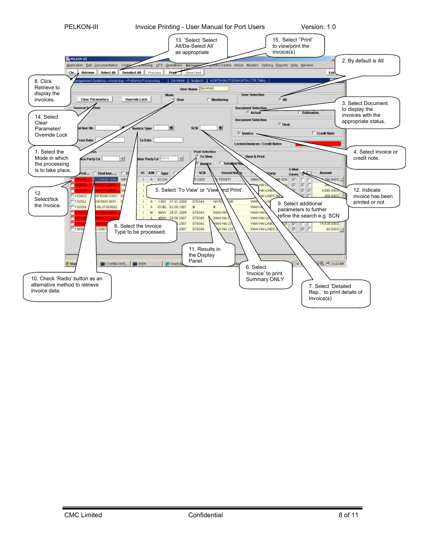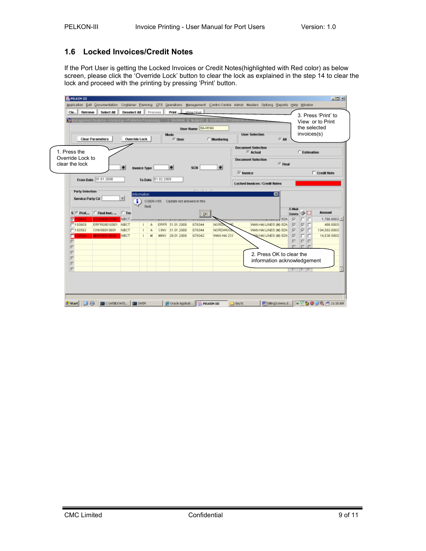# 1.6 Locked Invoices/Credit Notes

If the Port User is getting the Locked Invoices or Credit Notes(highlighted with Red color) as below screen, please click the 'Override Lock' button to clear the lock as explained in the step 14 to clear the lock and proceed with the printing by pressing 'Print' button.

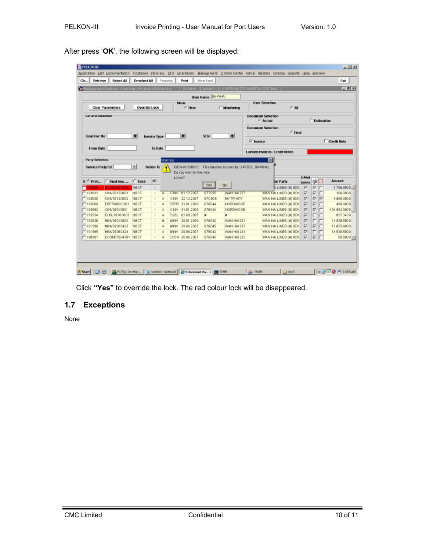| $-8x$<br><b>Ry Management Systems--&gt;Invoicing--&gt;Proforma Processing</b><br>[ SAWHAI ]] fastprd1 ][ NORTH BUTTERWORTH CTR TWNL ] |                   |          |                     |        |                           |        |                                                         |                  |                                                   |           |                              |             |                         |              |                                                                                                                                            |
|---------------------------------------------------------------------------------------------------------------------------------------|-------------------|----------|---------------------|--------|---------------------------|--------|---------------------------------------------------------|------------------|---------------------------------------------------|-----------|------------------------------|-------------|-------------------------|--------------|--------------------------------------------------------------------------------------------------------------------------------------------|
| User Name   RA-WHAI                                                                                                                   |                   |          |                     |        |                           |        |                                                         |                  |                                                   |           |                              |             |                         |              |                                                                                                                                            |
| <b>User Selection</b><br>Mode<br>Override Lock<br>G.M.<br><b>Clear Parameters</b><br><b>C. User</b><br><b>C</b> Mentoring             |                   |          |                     |        |                           |        |                                                         |                  |                                                   |           |                              |             |                         |              |                                                                                                                                            |
| <b>General Selection</b>                                                                                                              |                   |          |                     |        |                           |        |                                                         |                  |                                                   |           |                              |             |                         |              |                                                                                                                                            |
|                                                                                                                                       |                   |          |                     |        |                           |        |                                                         |                  | <b>Decument Selection</b><br><sup>(7</sup> Actual |           |                              |             |                         | C Estimation |                                                                                                                                            |
|                                                                                                                                       |                   |          |                     |        |                           |        |                                                         |                  | <b>Decument Selection</b>                         |           |                              |             |                         |              |                                                                                                                                            |
|                                                                                                                                       |                   |          |                     |        |                           |        |                                                         |                  |                                                   |           | $F$ Final                    |             |                         |              |                                                                                                                                            |
| Final Irvc No                                                                                                                         |                   | ÷        | <b>Invoice Type</b> |        | ۰                         | SON    | ₩                                                       |                  |                                                   |           |                              |             |                         |              |                                                                                                                                            |
|                                                                                                                                       |                   |          |                     |        |                           |        |                                                         | $\nabla$ invoice |                                                   |           |                              |             |                         |              | Credit Note                                                                                                                                |
| From Date                                                                                                                             |                   |          | To Date             |        |                           |        |                                                         |                  | Locked Invoices / Credit Notes                    |           |                              |             |                         |              |                                                                                                                                            |
|                                                                                                                                       |                   |          |                     |        |                           |        |                                                         |                  |                                                   |           |                              |             |                         |              |                                                                                                                                            |
| <b>Party Selection</b>                                                                                                                |                   |          |                     | Waming |                           |        |                                                         |                  | 囩                                                 |           |                              |             |                         |              |                                                                                                                                            |
| Service Party Cd                                                                                                                      |                   |          |                     |        |                           |        |                                                         |                  |                                                   |           |                              |             |                         |              |                                                                                                                                            |
|                                                                                                                                       |                   | <b>W</b> | <b>Debtor Pi</b>    |        |                           |        | IGEN-W-320012 This function is used by  146032 BA-WHAL. |                  |                                                   |           |                              |             |                         |              |                                                                                                                                            |
|                                                                                                                                       |                   |          |                     |        | Do you want to Override   |        |                                                         |                  |                                                   |           |                              |             |                         |              |                                                                                                                                            |
| $S \subseteq \text{Prot}_{\text{max}}$                                                                                                | C Final Inve      | $C$ Tent | <b>IKC</b>          |        | Locks?                    |        |                                                         |                  |                                                   | tor Party |                              | EMail       |                         | 16 E         | <b>Amount</b>                                                                                                                              |
| 93646                                                                                                                                 | ECON08010002      | NBCT     |                     |        |                           | Yes    | No                                                      |                  |                                                   |           | N LINES (MOSDA)              | Exists<br>R | ╔                       | г            |                                                                                                                                            |
|                                                                                                                                       | CINV07120003      | NBCT     |                     | 馬      | CINV 01.12.2007           | 077055 | WAN HAI 233                                             |                  |                                                   |           | <b>WAN HALLINES (M) SDN.</b> | ☞           | $\overline{\mathbf{v}}$ | г            |                                                                                                                                            |
|                                                                                                                                       | CINV07120002      | NBCT     | $\mathbf{I}$        | 馬      | CINV 22.12.2007           | 070006 | <b>W/TRINTY</b>                                         |                  |                                                   |           | WAN HAI LINES (M) SDN        | ☞           | R                       | ╔            |                                                                                                                                            |
|                                                                                                                                       | ERFR08010001      | NBCT     |                     | 馬      | ERFR 31.01.2008           | 076044 | NORDWO GE                                               |                  |                                                   |           | WAN HAI LINES IN SDN.        | - 157       | ╔                       | г            |                                                                                                                                            |
|                                                                                                                                       | CINV08010001      | NBCT     |                     | 馬      | 31.01.2008<br><b>CINV</b> | 076044 | NORDWO GE                                               |                  |                                                   |           | WAN HAI LINES (M) SDN        | E           | R                       |              |                                                                                                                                            |
|                                                                                                                                       | EUBL07080002      | NBCT     |                     | 馬      | EUBL 02.08.2007           | $\ast$ | ¥.                                                      |                  |                                                   |           | WAN HAI LINES (M) SDN        | E           |                         |              |                                                                                                                                            |
| $-193632$<br>$-193630$<br>$-193609$<br>$-193592$<br>□193554<br>$-192026$                                                              | MINV08010002      | NBCT     |                     | M      | 28.01.2008<br><b>MINV</b> | 076042 | WAN HAI 231                                             |                  |                                                   |           | WAN HAI LINES (M) SDN        | E           |                         |              |                                                                                                                                            |
| $-191596$                                                                                                                             | MINV07060423      | NBCT     |                     | 馬      | 29.06.2007<br>MINV        | 076045 | WAN HAI 235                                             |                  |                                                   |           | WAN HAI LINES (M) SDN.       | ⊮           | $\overline{\mathbf{v}}$ |              |                                                                                                                                            |
| $-191595$                                                                                                                             | MINV07060424      | NBCT     |                     | 馬      | MINV 29.06.2007           | 076042 | WAN HAI 231                                             |                  |                                                   |           | WAN HALLINES (M) SDN F       |             |                         | г            |                                                                                                                                            |
| □190901                                                                                                                               | ECON07064301 NBCT |          | $\mathbf{I}$        | 馬      | ECON 28.06.2007           | 076045 | WAN HAI 235                                             |                  |                                                   |           | WAN HAI LINES (M) SDN.       | ☞           | $\overline{\mathbf{v}}$ |              | 1.766.8000 *<br>360,0000<br>4,860,0000<br>488,0000<br>104,592,0000<br>857.3400<br>14,538,5000<br>15,055.4000<br>14,538,5000<br>$60.0000 -$ |

After press 'OK', the following screen will be displayed:

Click "Yes" to override the lock. The red colour lock will be disappeared.

# 1.7 Exceptions

None